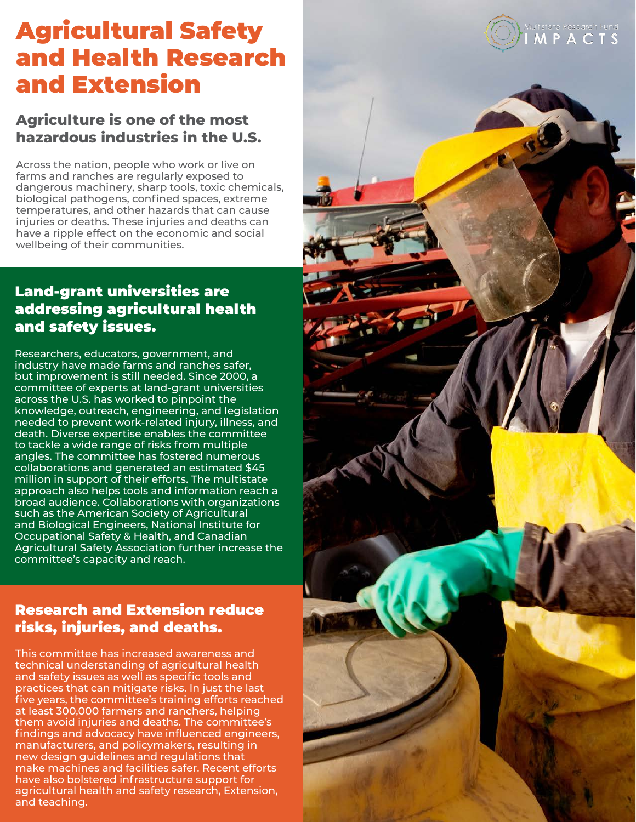# Agricultural Safety and Health Research and Extension

# **Agriculture is one of the most hazardous industries in the U.S.**

Across the nation, people who work or live on farms and ranches are regularly exposed to dangerous machinery, sharp tools, toxic chemicals, biological pathogens, confined spaces, extreme temperatures, and other hazards that can cause injuries or deaths. These injuries and deaths can have a ripple effect on the economic and social wellbeing of their communities.

# Land-grant universities are addressing agricultural health and safety issues.

Researchers, educators, government, and industry have made farms and ranches safer, but improvement is still needed. Since 2000, a committee of experts at land-grant universities across the U.S. has worked to pinpoint the knowledge, outreach, engineering, and legislation needed to prevent work-related injury, illness, and death. Diverse expertise enables the committee to tackle a wide range of risks from multiple angles. The committee has fostered numerous collaborations and generated an estimated \$45 million in support of their efforts. The multistate approach also helps tools and information reach a broad audience. Collaborations with organizations such as the American Society of Agricultural and Biological Engineers, National Institute for Occupational Safety & Health, and Canadian Agricultural Safety Association further increase the committee's capacity and reach.

# Research and Extension reduce risks, injuries, and deaths.

This committee has increased awareness and technical understanding of agricultural health and safety issues as well as specific tools and practices that can mitigate risks. In just the last five years, the committee's training efforts reached at least 300,000 farmers and ranchers, helping them avoid injuries and deaths. The committee's findings and advocacy have influenced engineers, manufacturers, and policymakers, resulting in new design guidelines and regulations that make machines and facilities safer. Recent efforts have also bolstered infrastructure support for agricultural health and safety research, Extension, and teaching.